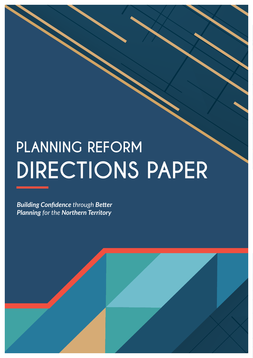## **PLANNING REFORM DIRECTIONS PAPER**

*Building Confidence through Better Planning for the Northern Territory*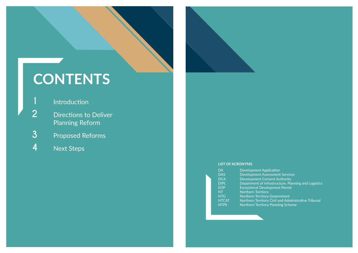- **Introduction**
- 2 **Directions** to Deliver Planning Reform
- **3** Proposed Reforms
- **4** Next Steps



## **CONTENTS**

#### **LIST OF ACRONYMS**

| DА           |  |
|--------------|--|
| DĀS          |  |
| DCA          |  |
| DIPL         |  |
| EDP          |  |
| NT           |  |
| NTG          |  |
| <b>NTCAT</b> |  |
| NTPS         |  |

Development Application Development Assessment Services Development Consent Authority **Exceptional Development Permit** Northern Territory Northern Territory Government Northern Territory Planning Scheme

Department of Infrastructure, Planning and Logistics

Northern Territory Civil and Administrative Tribunal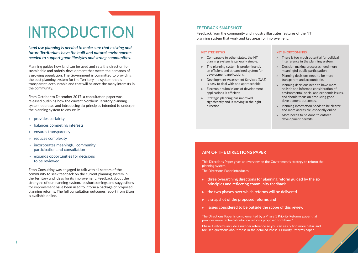# **INTRODUCTION**

*Land use planning is needed to make sure that existing and future Territorians have the built and natural environments needed to support great lifestyles and strong communities.* 

Planning guides how land can be used and sets the direction for sustainable and orderly development that meets the demands of a growing population. The Government is committed to providing the best planning system for the Territory – a system that is transparent, accountable and that will balance the many interests in the community.

From October to December 2017, a consultation paper was released outlining how the current Northern Territory planning system operates and introducing six principles intended to underpin the planning system to ensure it:

- ▷ provides certainty
- ▷ balances competing interests
- ▷ ensures transparency
- ▷ reduces complexity
- $\triangleright$  incorporates meaningful community participation and consultation
- $\triangleright$  expands opportunities for decisions to be reviewed.

Elton Consulting was engaged to talk with all sectors of the community to seek feedback on the current planning system in the Territory and ideas for its improvement. Feedback about the strengths of our planning system, its shortcomings and suggestions for improvement have been used to inform a package of proposed planning reforms. The full consultation outcomes report from Elton is available online.

#### **KEY STRENGTHS**

- ▷ Comparable to other states, the NT planning system is generally simple.
- ▷ The planning system is predominantly an efficient and streamlined system for development applications.
- ▷ Development Assessment Services (DAS) is easy to deal with and approachable.
- ▷ Electronic submissions of development applications is efficient.
- ▷ Strategic planning has improved significantly and is moving in the right direction.

#### **KEY SHORTCOMINGS**

- ▷ There is too much potential for political interference in the planning system.
- ▷ Decision making processes need more meaningful public participation.
- $\triangleright$  Planning decisions need to be more transparent and accountable.
- ▷ Planning decisions need to have more holistic and informed consideration of environmental, social and economic issues, and should focus on producing good development outcomes.
- ▷ Planning information needs to be clearer and more accessible, especially online.
- ▷ More needs to be done to enforce development permits.

#### **FEEDBACK SNAPSHOT**

Feedback from the community and industry illustrates features of the NT planning system that work and key areas for improvement.

#### **AIM OF THE DIRECTIONS PAPER**

This Directions Paper gives an overview on the Government's strategy to reform the planning system.

The Directions Paper introduces:

- ▷ **three overarching directions for planning reform guided by the six principles and reflecting community feedback**
- ▷ **the two phases over which reforms will be delivered**
- ▷ **a snapshot of the proposed reforms and**
- ▷ **issues considered to be outside the scope of this review**

The Directions Paper is complemented by a Phase 1 Priority Reforms paper that provides more technical detail on reforms proposed for Phase 1.

Phase 1 reforms include a number reference so you can easily find more detail and focused questions about these in the detailed Phase 1 Priority Reforms paper

**2**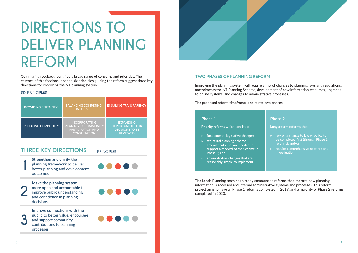# **DIRECTIONS TO DELIVER PLANNING REFORM**





Community feedback identified a broad range of concerns and priorities. The essence of this feedback and the six principles guiding the reform suggest three key directions for improving the NT planning system.

#### SIX PRINCIPLES

| <b>PROVIDING CERTAINTY</b> | <b>BALANCING COMPETING</b><br><b>INTERESTS</b>                                                         | <b>ENSURING TRANSPARENCY</b>                                                              |
|----------------------------|--------------------------------------------------------------------------------------------------------|-------------------------------------------------------------------------------------------|
| <b>REDUCING COMPLEXITY</b> | <b>INCORPORATING</b><br><b>MEANINGFUL COMMUNITY</b><br><b>PARTICIPATION AND</b><br><b>CONSULTATION</b> | <b>EXPANDING</b><br><b>OPPORTUNITIES FOR</b><br><b>DECISIONS TO BE</b><br><b>REVIEWED</b> |

### **THREE KEY DIRECTIONS** PRINCIPLES

#### **TWO PHASES OF PLANNING REFORM**

Improving the planning system will require a mix of changes to planning laws and regulations, amendments the NT Planning Scheme, development of new information resources, upgrades to online systems, and changes to administrative processes.

The proposed reform timeframe is split into two phases:

The Lands Planning team has already commenced reforms that improve how planning information is accessed and internal administrative systems and processes. This reform project aims to have all Phase 1 reforms completed in 2019, and a majority of Phase 2 reforms completed in 2020.



#### **Phase 2**

Longer term reforms **that:**

- ▷ **rely on a change to law or policy to be completed first (through Phase 1 reforms); and/or**
- ▷ **require comprehensive research and investigation.**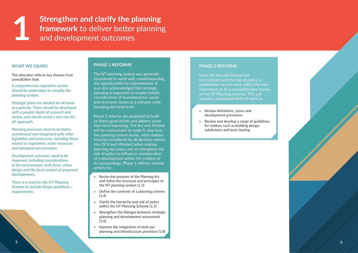**1 1 Strengthen and clarify the planning framework to deliver better planning and development outcomes framework** to deliver better planning and development outcomes

#### **WHAT WE HEARD**

This direction reflects key themes from consultation that:

*A comprehensive legislative review should be undertaken to simplify the planning system.*

*Strategic plans are needed for all areas as a priority. These should be developed with a greater depth of research and review, and should avoid a 'one size fits all' approach.*

*Planning processes need to be better coordinated and integrated with other legislation and processes, including those related to vegetation, water resources and infrastructure provision.*

*Development outcomes need to be improved, including considerations of the environment, built form, urban design and the local context of proposed developments.*

*There is a need for the NT Planning Scheme to include design guidelines / requirements.* 

#### **PHASE 1 REFORMS**

The NT planning system was generally considered to work well, notwithstanding the opportunities for improvement. It was also acknowledged that strategic planning is important to enable holistic consideration of environmental, social and economic issues at a relevant scale, including the local level.

Phase 1 reforms are proposed to build on these good points and address areas that need improving. The Act and Scheme will be restructured to make it clear how the planning system works, what matters must be considered by all decision makers (the DCA and Minister) when making planning decisions, and to strengthen the role of policy to influence consideration of a development within the context of its surroundings. Phase 1 reforms include actions to:

- ▷ Revise the purpose of the *Planning Act*  and refine the structure and principles of the NT planning system (1.3)
- $\triangleright$  Define the contents of a planning scheme (1.4)
- $\triangleright$  Clarify the hierarchy and role of policy within the NT Planning Scheme (1.5)
- Strengthen the linkages between strategic planning and development assessment (1.6)
- ▷ Improve the integration of land use planning and infrastructure provision (1.8)

#### **PHASE 2 REFORMS**

Once the Act and Scheme are restructured and the role of policy is established, we can work within the new framework to do a comprehensive review of the NT Planning Scheme. This will include a substantial body of work to:

- ▷ Review definitions, zones and development provisions
- ▷ Review and develop a range of guidelines for matters such as building design, subdivision and land clearing

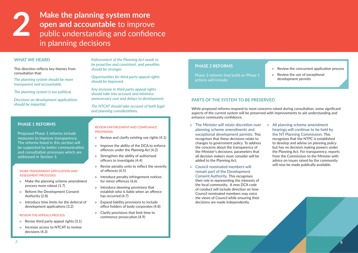**22 Make the planning system more<br>open and accountable to improve<br>public understanding and confide<br>in planning desigions open and accountable** to improve public understanding and confidence in planning decisions

#### **MORE TRANSPARENT APPLICATION AND ASSESSMENT PROCESSES**

- $\triangleright$  Make the planning scheme amendment process more robust (1.7)
- ▷ Reform the Development Consent Authority (2.8)
- $\triangleright$  Introduce time limits for the deferral of development applications (3.2)

- $\triangleright$  Revise third party appeal rights (3.1)
- ▷ Increase access to NTCAT to review decisions (4.3)

#### **REVIEW THE APPEALS PROCESS**

#### **REVIEW ENFORCEMENT AND COMPLIANCE PROVISIONS**

- $\triangleright$  Review and clarify existing use rights (4.1)
- $\triangleright$  Improve the ability of the DCA to enforce offences under the *Planning Act* (4.2)
- $\triangleright$  Strengthen the ability of authorised officers to investigate (4.4)
- $\triangleright$  Revise penalty units to reflect the severity of offences (4.5)
- ▷ Introduce penalty infringement notices for minor offences (4.6)
- $\triangleright$  Introduce deeming provisions that establish who is liable when an offence has occurred (4.7)
- ▷ Expand liability provisions to include office holders of body corporates (4.8)
- $\triangleright$  Clarify provisions that limit time to commence prosecution (4.9)

#### **WHAT WE HEARD**

This direction reflects key themes from consultation that:

*The planning system should be more transparent and accountable.*

*The planning system is too political.*

- $\triangleright$  The Minister will retain discretion over planning scheme amendments and exceptional development permits. This recognises that these decisions relate to changes to government policy. To address the concerns about the transparency of the Minister's decisions, parameters that all decision makers must consider will be added to the Planning Act.
- ▷ Council nominated members will remain part of the Development Consent Authority. This recognises their role in representing the interests of the local community. A new DCA code of conduct will include direction on how Council nominated members may voice the views of Council while ensuring their decisions are made independently.

*Decisions on development applications should be impartial.*

*Enforcement of the Planning Act needs to be proactive and consistent, and penalties should be stronger.*

> $\triangleright$  All planning scheme amendment hearings will continue to be held by the NT Planning Commission. This recognises that the NTPC is established to develop and advise on planning policy but has no decision making powers under the Planning Act. For transparency, reports from the Commission to the Minister with advice on issues raised by the community will now be made publically available.

*Opportunities for third party appeal rights should be improved.* 

*Any increase in third party appeal rights should take into account and minimise unnecessary cost and delays to development*

*The NTCAT should take account of both legal and planning considerations.*

#### **PHASE 2 REFORMS**

Phase 2 reforms that build on Phase 1 actions will include:

- ▷ Review the concurrent application process
- $\triangleright$  Review the use of exceptional development permits

#### **PARTS OF THE SYSTEM TO BE PRESERVED**

While proposed reforms respond to most concerns raised during consultation, some significant aspects of the current system will be preserved with improvements to aid understanding and enhance community confidence.

#### **PHASE 1 REFORMS**

Proposed Phase 1 reforms include measures to improve transparency. The reforms listed in this section will be supported by better communication and consultation processes which are addressed in Section 3.

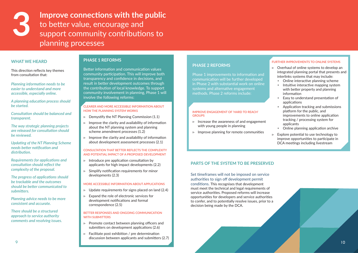#### **PHASE 1 REFORMS**

Better information and communication values community participation. This will improve both transparency and confidence in decisions, and result in better development outcomes through the contribution of local knowledge. To support community involvement in planning, Phase 1 will involve the following reforms:

- $\triangleright$  Demystify the NT Planning Commission (1.1)
- $\triangleright$  Improve the clarity and availability of information about the NT planning system and planning scheme amendment processes (1.2)
- $\triangleright$  Improve the clarity and availability of information about development assessment processes (2.1)

#### **CLEARER AND MORE ACCESSIBLE INFORMATION ABOUT HOW THE PLANNING SYSTEM WORKS**

- $\triangleright$  Introduce pre application consultation by applicants for high impact developments (2.2)
- ▷ Simplify notification requirements for minor developments (2.3)

- $\triangleright$  Update requirements for signs placed on land (2.4)
- Expand the role of electronic services for development notifications and formal correspondence (2.5)

#### **CONSULTATION THAT BETTER REFLECTS THE COMPLEXITY AND POTENTIAL IMPACT OF A PROPOSED DEVELOPMENT**

#### **MORE ACCESSIBLE INFORMATION ABOUT APPLICATIONS**

#### **BETTER RESPONSES AND ONGOING COMMUNICATION WITH SUBMITTERS**

- ▷ Promote contact between planning officers and submitters on development applications (2.6)
- $\triangleright$  Facilitate post exhibition / pre determination discussion between applicants and submitters (2.7)

### **3 Improve connections with the public to better value, encourage and support community contributions to** to better value, encourage and support community contributions to planning processes

#### **WHAT WE HEARD**

This direction reflects key themes from consultation that:

*Planning information needs to be easier to understand and more accessible, especially online.*

*A planning education process should be started.*

*Consultation should be balanced and transparent.* 

*The way strategic planning projects are released for consultation should be reviewed.*

*Updating of the NT Planning Scheme needs better notification and distribution.* 

*Requirements for applications and consultation should reflect the complexity of the proposal.*

*The progress of applications should be trackable and the outcomes should be better communicated to submitters.*

*Planning advice needs to be more consistent and accurate.*

*There should be a structured approach to service authority comments and resolving issues.* 

#### **PHASE 2 REFORMS**

Phase 1 improvements to information and communication will be further developed in Phase 2 with substantial work on online systems and alternative engagement methods. Phase 2 reforms include:

#### **IMPROVE ENGAGEMENT OF 'HARD TO REACH' GROUPS**

- ▷ Increase the awareness of and engagement with young people in planning
- ▷ Improve planning for remote communities

#### **FURTHER IMPROVEMENTS TO ONLINE SYSTEMS**

- ▷ Overhaul of online systems to develop an integrated planning portal that presents and interlinks systems that may include:
	- Online interactive planning scheme
	- Intuitive interactive mapping system with better property and planning information
	- Easy to understand presentation of applications
	- Application tracking and submissions platform for the public, and improvements to online application tracking / processing system for applicants
	- Online planning application archive
- $\triangleright$  Explore potential to use technology to improve opportunities to participate in DCA meetings including livestream

### **PARTS OF THE SYSTEM TO BE PRESERVED**

Set timeframes will not be imposed on service authorities to sign off development permit conditions. This recognises that development must meet the technical and legal requirements of service authorities. Proposed reforms will increase opportunities for developers and service authorities to confer, and to potentially resolve issues, prior to a decision being made by the DCA.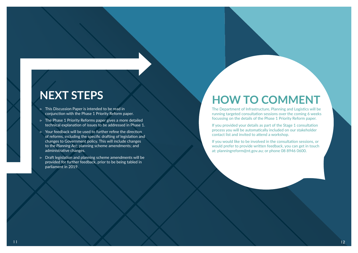### **NEXT STEPS**

- ▷ This Discussion Paper is intended to be read in conjunction with the Phase 1 Priority Reform paper.
- ▷ The Phase 1 Priority Reforms paper gives a more detailed technical explanation of issues to be addressed in Phase 1.
- ▷ Your feedback will be used to further refine the direction of reforms, including the specific drafting of legislation and changes to Government policy. This will include changes to the *Planning Act*; planning scheme amendments; and administrative changes.
- ▷ Draft legislation and planning scheme amendments will be provided for further feedback, prior to be being tabled in parliament in 2019.

If you provided your details as part of the Stage 1 consultation process you will be automatically included on our stakeholder contact list and invited to attend a workshop.

If you would like to be involved in the consultation sessions, or would prefer to provide written feedback, you can get in touch at: planningreform@nt.gov.au; or phone 08 8946 0600.

## **HOW TO COMMENT**

The Department of Infrastructure, Planning and Logistics will be running targeted consultation sessions over the coming 6 weeks focussing on the details of the Phase 1 Priority Reform paper.